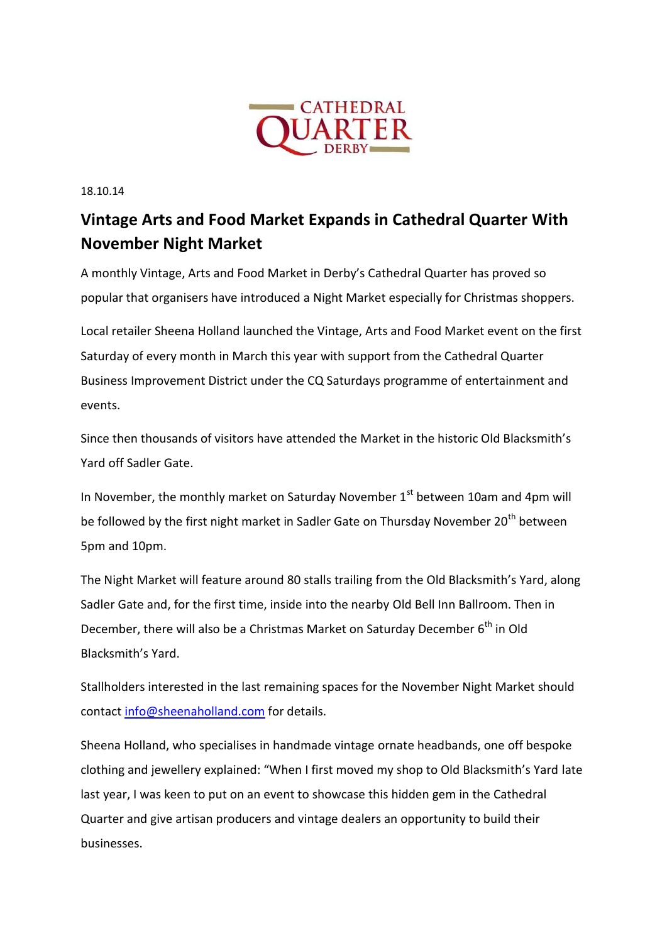

18.10.14

## **Vintage Arts and Food Market Expands in Cathedral Quarter With November Night Market**

A monthly Vintage, Arts and Food Market in Derby's Cathedral Quarter has proved so popular that organisers have introduced a Night Market especially for Christmas shoppers.

Local retailer Sheena Holland launched the Vintage, Arts and Food Market event on the first Saturday of every month in March this year with support from the Cathedral Quarter Business Improvement District under the CQ Saturdays programme of entertainment and events.

Since then thousands of visitors have attended the Market in the historic Old Blacksmith's Yard off Sadler Gate.

In November, the monthly market on Saturday November  $1<sup>st</sup>$  between 10am and 4pm will be followed by the first night market in Sadler Gate on Thursday November 20<sup>th</sup> between 5pm and 10pm.

The Night Market will feature around 80 stalls trailing from the Old Blacksmith's Yard, along Sadler Gate and, for the first time, inside into the nearby Old Bell Inn Ballroom. Then in December, there will also be a Christmas Market on Saturday December 6<sup>th</sup> in Old Blacksmith's Yard.

Stallholders interested in the last remaining spaces for the November Night Market should contact [info@sheenaholland.com](mailto:info@sheenaholland.com) for details.

Sheena Holland, who specialises in handmade vintage ornate headbands, one off bespoke clothing and jewellery explained: "When I first moved my shop to Old Blacksmith's Yard late last year, I was keen to put on an event to showcase this hidden gem in the Cathedral Quarter and give artisan producers and vintage dealers an opportunity to build their businesses.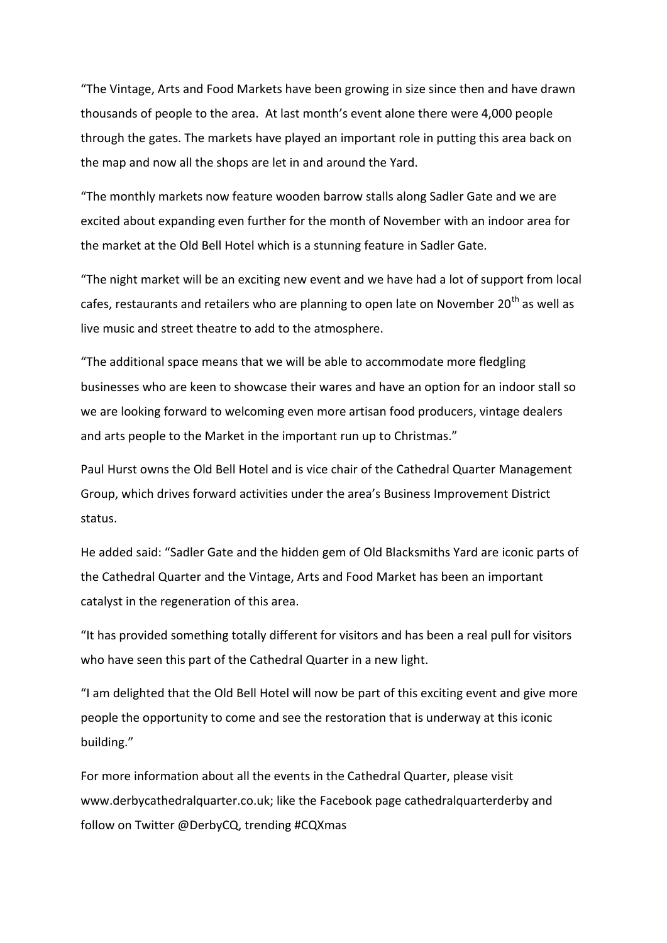"The Vintage, Arts and Food Markets have been growing in size since then and have drawn thousands of people to the area. At last month's event alone there were 4,000 people through the gates. The markets have played an important role in putting this area back on the map and now all the shops are let in and around the Yard.

"The monthly markets now feature wooden barrow stalls along Sadler Gate and we are excited about expanding even further for the month of November with an indoor area for the market at the Old Bell Hotel which is a stunning feature in Sadler Gate.

"The night market will be an exciting new event and we have had a lot of support from local cafes, restaurants and retailers who are planning to open late on November 20<sup>th</sup> as well as live music and street theatre to add to the atmosphere.

"The additional space means that we will be able to accommodate more fledgling businesses who are keen to showcase their wares and have an option for an indoor stall so we are looking forward to welcoming even more artisan food producers, vintage dealers and arts people to the Market in the important run up to Christmas."

Paul Hurst owns the Old Bell Hotel and is vice chair of the Cathedral Quarter Management Group, which drives forward activities under the area's Business Improvement District status.

He added said: "Sadler Gate and the hidden gem of Old Blacksmiths Yard are iconic parts of the Cathedral Quarter and the Vintage, Arts and Food Market has been an important catalyst in the regeneration of this area.

"It has provided something totally different for visitors and has been a real pull for visitors who have seen this part of the Cathedral Quarter in a new light.

"I am delighted that the Old Bell Hotel will now be part of this exciting event and give more people the opportunity to come and see the restoration that is underway at this iconic building."

For more information about all the events in the Cathedral Quarter, please visit www.derbycathedralquarter.co.uk; like the Facebook page cathedralquarterderby and follow on Twitter @DerbyCQ, trending #CQXmas